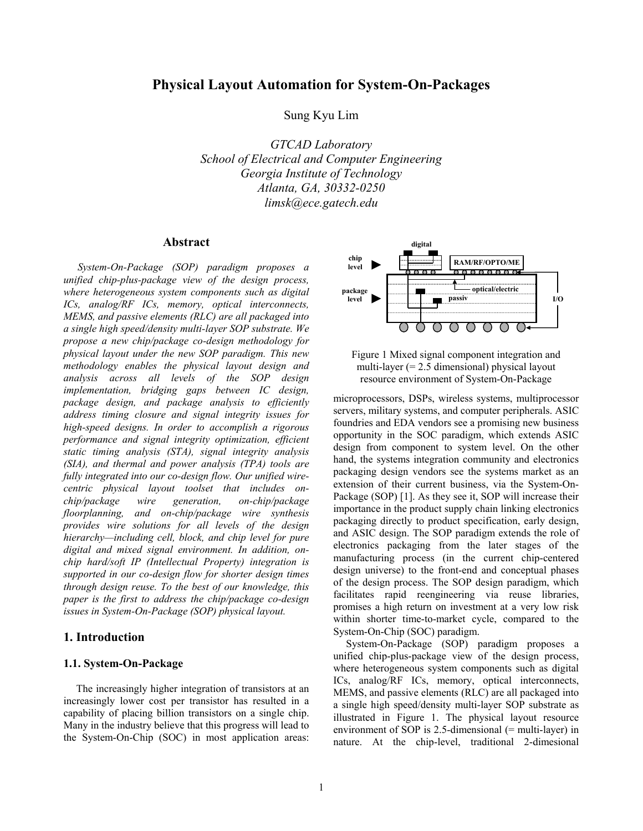# **Physical Layout Automation for System-On-Packages**

Sung Kyu Lim

*GTCAD Laboratory School of Electrical and Computer Engineering Georgia Institute of Technology Atlanta, GA, 30332-0250 limsk@ece.gatech.edu* 

## **Abstract**

 *System-On-Package (SOP) paradigm proposes a unified chip-plus-package view of the design process, where heterogeneous system components such as digital ICs, analog/RF ICs, memory, optical interconnects, MEMS, and passive elements (RLC) are all packaged into a single high speed/density multi-layer SOP substrate. We propose a new chip/package co-design methodology for physical layout under the new SOP paradigm. This new methodology enables the physical layout design and analysis across all levels of the SOP design implementation, bridging gaps between IC design, package design, and package analysis to efficiently address timing closure and signal integrity issues for high-speed designs. In order to accomplish a rigorous performance and signal integrity optimization, efficient static timing analysis (STA), signal integrity analysis (SIA), and thermal and power analysis (TPA) tools are fully integrated into our co-design flow. Our unified wirecentric physical layout toolset that includes onchip/package wire generation, on-chip/package floorplanning, and on-chip/package wire synthesis provides wire solutions for all levels of the design hierarchy—including cell, block, and chip level for pure digital and mixed signal environment. In addition, onchip hard/soft IP (Intellectual Property) integration is supported in our co-design flow for shorter design times through design reuse. To the best of our knowledge, this paper is the first to address the chip/package co-design issues in System-On-Package (SOP) physical layout.* 

## **1. Introduction**

## **1.1. System-On-Package**

The increasingly higher integration of transistors at an increasingly lower cost per transistor has resulted in a capability of placing billion transistors on a single chip. Many in the industry believe that this progress will lead to the System-On-Chip (SOC) in most application areas:





microprocessors, DSPs, wireless systems, multiprocessor servers, military systems, and computer peripherals. ASIC foundries and EDA vendors see a promising new business opportunity in the SOC paradigm, which extends ASIC design from component to system level. On the other hand, the systems integration community and electronics packaging design vendors see the systems market as an extension of their current business, via the System-On-Package (SOP) [1]. As they see it, SOP will increase their importance in the product supply chain linking electronics packaging directly to product specification, early design, and ASIC design. The SOP paradigm extends the role of electronics packaging from the later stages of the manufacturing process (in the current chip-centered design universe) to the front-end and conceptual phases of the design process. The SOP design paradigm, which facilitates rapid reengineering via reuse libraries, promises a high return on investment at a very low risk within shorter time-to-market cycle, compared to the System-On-Chip (SOC) paradigm.

System-On-Package (SOP) paradigm proposes a unified chip-plus-package view of the design process, where heterogeneous system components such as digital ICs, analog/RF ICs, memory, optical interconnects, MEMS, and passive elements (RLC) are all packaged into a single high speed/density multi-layer SOP substrate as illustrated in Figure 1. The physical layout resource environment of SOP is 2.5-dimensional (= multi-layer) in nature. At the chip-level, traditional 2-dimesional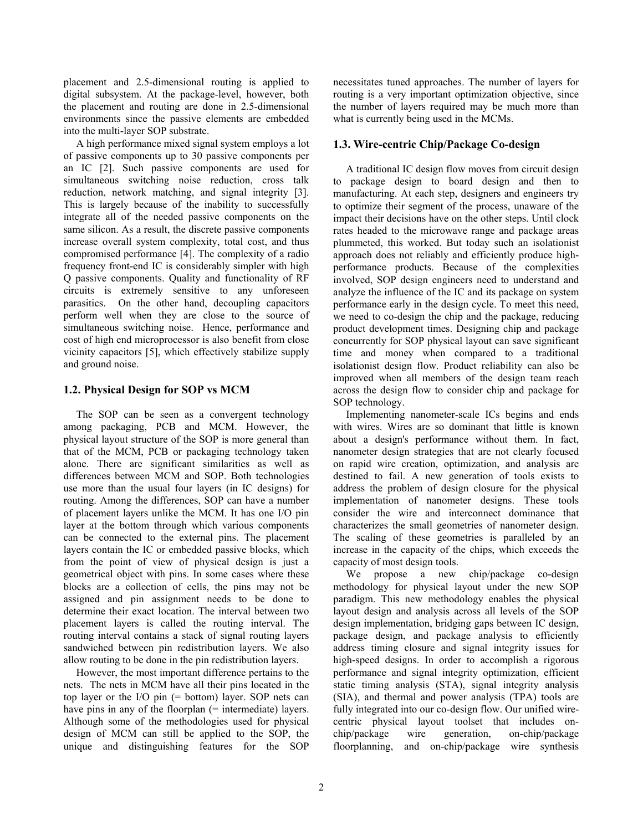placement and 2.5-dimensional routing is applied to digital subsystem. At the package-level, however, both the placement and routing are done in 2.5-dimensional environments since the passive elements are embedded into the multi-layer SOP substrate.

A high performance mixed signal system employs a lot of passive components up to 30 passive components per an IC [2]. Such passive components are used for simultaneous switching noise reduction, cross talk reduction, network matching, and signal integrity [3]. This is largely because of the inability to successfully integrate all of the needed passive components on the same silicon. As a result, the discrete passive components increase overall system complexity, total cost, and thus compromised performance [4]. The complexity of a radio frequency front-end IC is considerably simpler with high Q passive components. Quality and functionality of RF circuits is extremely sensitive to any unforeseen parasitics. On the other hand, decoupling capacitors perform well when they are close to the source of simultaneous switching noise. Hence, performance and cost of high end microprocessor is also benefit from close vicinity capacitors [5], which effectively stabilize supply and ground noise.

## **1.2. Physical Design for SOP vs MCM**

The SOP can be seen as a convergent technology among packaging, PCB and MCM. However, the physical layout structure of the SOP is more general than that of the MCM, PCB or packaging technology taken alone. There are significant similarities as well as differences between MCM and SOP. Both technologies use more than the usual four layers (in IC designs) for routing. Among the differences, SOP can have a number of placement layers unlike the MCM. It has one I/O pin layer at the bottom through which various components can be connected to the external pins. The placement layers contain the IC or embedded passive blocks, which from the point of view of physical design is just a geometrical object with pins. In some cases where these blocks are a collection of cells, the pins may not be assigned and pin assignment needs to be done to determine their exact location. The interval between two placement layers is called the routing interval. The routing interval contains a stack of signal routing layers sandwiched between pin redistribution layers. We also allow routing to be done in the pin redistribution layers.

However, the most important difference pertains to the nets. The nets in MCM have all their pins located in the top layer or the I/O pin (= bottom) layer. SOP nets can have pins in any of the floorplan (= intermediate) layers. Although some of the methodologies used for physical design of MCM can still be applied to the SOP, the unique and distinguishing features for the SOP

necessitates tuned approaches. The number of layers for routing is a very important optimization objective, since the number of layers required may be much more than what is currently being used in the MCMs.

### **1.3. Wire-centric Chip/Package Co-design**

A traditional IC design flow moves from circuit design to package design to board design and then to manufacturing. At each step, designers and engineers try to optimize their segment of the process, unaware of the impact their decisions have on the other steps. Until clock rates headed to the microwave range and package areas plummeted, this worked. But today such an isolationist approach does not reliably and efficiently produce highperformance products. Because of the complexities involved, SOP design engineers need to understand and analyze the influence of the IC and its package on system performance early in the design cycle. To meet this need, we need to co-design the chip and the package, reducing product development times. Designing chip and package concurrently for SOP physical layout can save significant time and money when compared to a traditional isolationist design flow. Product reliability can also be improved when all members of the design team reach across the design flow to consider chip and package for SOP technology.

Implementing nanometer-scale ICs begins and ends with wires. Wires are so dominant that little is known about a design's performance without them. In fact, nanometer design strategies that are not clearly focused on rapid wire creation, optimization, and analysis are destined to fail. A new generation of tools exists to address the problem of design closure for the physical implementation of nanometer designs. These tools consider the wire and interconnect dominance that characterizes the small geometries of nanometer design. The scaling of these geometries is paralleled by an increase in the capacity of the chips, which exceeds the capacity of most design tools.

We propose a new chip/package co-design methodology for physical layout under the new SOP paradigm. This new methodology enables the physical layout design and analysis across all levels of the SOP design implementation, bridging gaps between IC design, package design, and package analysis to efficiently address timing closure and signal integrity issues for high-speed designs. In order to accomplish a rigorous performance and signal integrity optimization, efficient static timing analysis (STA), signal integrity analysis (SIA), and thermal and power analysis (TPA) tools are fully integrated into our co-design flow. Our unified wirecentric physical layout toolset that includes onchip/package wire generation, on-chip/package floorplanning, and on-chip/package wire synthesis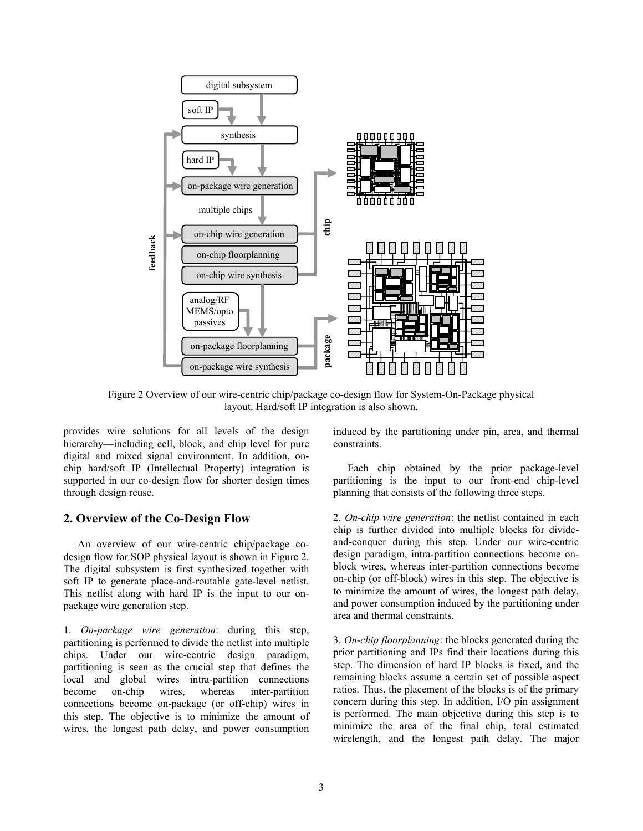

Figure 2 Overview of our wire-centric chip/package co-design flow for System-On-Package physical layout. Hard/soft IP integration is also shown.

provides wire solutions for all levels of the design hierarchy—including cell, block, and chip level for pure digital and mixed signal environment. In addition, onchip hard/soft IP (Intellectual Property) integration is supported in our co-design flow for shorter design times through design reuse.

## **2. Overview of the Co-Design Flow**

 An overview of our wire-centric chip/package codesign flow for SOP physical layout is shown in Figure 2. The digital subsystem is first synthesized together with soft IP to generate place-and-routable gate-level netlist. This netlist along with hard IP is the input to our onpackage wire generation step.

1. *On-package wire generation*: during this step, partitioning is performed to divide the netlist into multiple chips. Under our wire-centric design paradigm, partitioning is seen as the crucial step that defines the local and global wires—intra-partition connections become on-chip wires, whereas inter-partition connections become on-package (or off-chip) wires in this step. The objective is to minimize the amount of wires, the longest path delay, and power consumption

induced by the partitioning under pin, area, and thermal constraints.

 Each chip obtained by the prior package-level partitioning is the input to our front-end chip-level planning that consists of the following three steps.

2. *On-chip wire generation*: the netlist contained in each chip is further divided into multiple blocks for divideand-conquer during this step. Under our wire-centric design paradigm, intra-partition connections become onblock wires, whereas inter-partition connections become on-chip (or off-block) wires in this step. The objective is to minimize the amount of wires, the longest path delay, and power consumption induced by the partitioning under area and thermal constraints.

3. *On-chip floorplanning*: the blocks generated during the prior partitioning and IPs find their locations during this step. The dimension of hard IP blocks is fixed, and the remaining blocks assume a certain set of possible aspect ratios. Thus, the placement of the blocks is of the primary concern during this step. In addition, I/O pin assignment is performed. The main objective during this step is to minimize the area of the final chip, total estimated wirelength, and the longest path delay. The major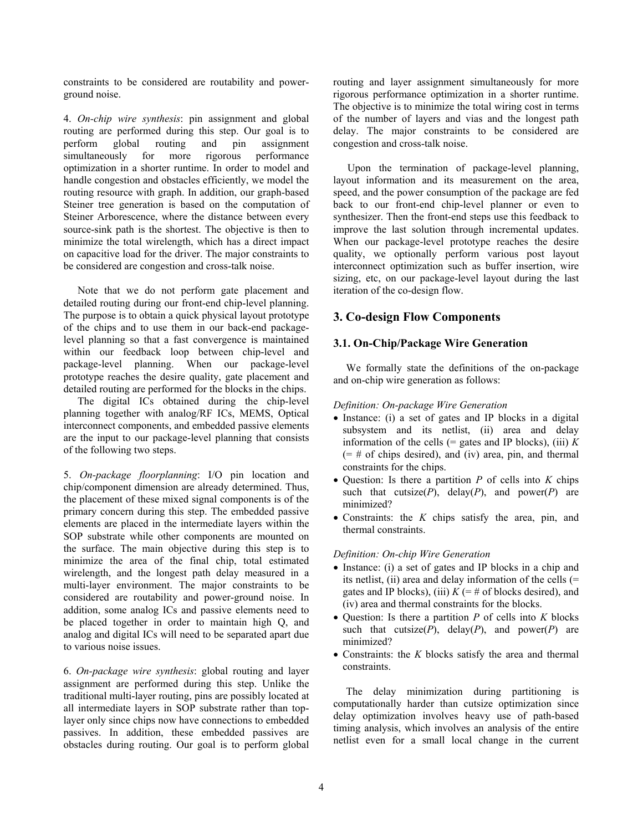constraints to be considered are routability and powerground noise.

4. *On-chip wire synthesis*: pin assignment and global routing are performed during this step. Our goal is to perform global routing and pin assignment<br>simultaneously for more rigorous performance simultaneously for more rigorous optimization in a shorter runtime. In order to model and handle congestion and obstacles efficiently, we model the routing resource with graph. In addition, our graph-based Steiner tree generation is based on the computation of Steiner Arborescence, where the distance between every source-sink path is the shortest. The objective is then to minimize the total wirelength, which has a direct impact on capacitive load for the driver. The major constraints to be considered are congestion and cross-talk noise.

 Note that we do not perform gate placement and detailed routing during our front-end chip-level planning. The purpose is to obtain a quick physical layout prototype of the chips and to use them in our back-end packagelevel planning so that a fast convergence is maintained within our feedback loop between chip-level and package-level planning. When our package-level prototype reaches the desire quality, gate placement and detailed routing are performed for the blocks in the chips.

 The digital ICs obtained during the chip-level planning together with analog/RF ICs, MEMS, Optical interconnect components, and embedded passive elements are the input to our package-level planning that consists of the following two steps.

5. *On-package floorplanning*: I/O pin location and chip/component dimension are already determined. Thus, the placement of these mixed signal components is of the primary concern during this step. The embedded passive elements are placed in the intermediate layers within the SOP substrate while other components are mounted on the surface. The main objective during this step is to minimize the area of the final chip, total estimated wirelength, and the longest path delay measured in a multi-layer environment. The major constraints to be considered are routability and power-ground noise. In addition, some analog ICs and passive elements need to be placed together in order to maintain high Q, and analog and digital ICs will need to be separated apart due to various noise issues.

6. *On-package wire synthesis*: global routing and layer assignment are performed during this step. Unlike the traditional multi-layer routing, pins are possibly located at all intermediate layers in SOP substrate rather than toplayer only since chips now have connections to embedded passives. In addition, these embedded passives are obstacles during routing. Our goal is to perform global

routing and layer assignment simultaneously for more rigorous performance optimization in a shorter runtime. The objective is to minimize the total wiring cost in terms of the number of layers and vias and the longest path delay. The major constraints to be considered are congestion and cross-talk noise.

 Upon the termination of package-level planning, layout information and its measurement on the area, speed, and the power consumption of the package are fed back to our front-end chip-level planner or even to synthesizer. Then the front-end steps use this feedback to improve the last solution through incremental updates. When our package-level prototype reaches the desire quality, we optionally perform various post layout interconnect optimization such as buffer insertion, wire sizing, etc, on our package-level layout during the last iteration of the co-design flow.

## **3. Co-design Flow Components**

### **3.1. On-Chip/Package Wire Generation**

We formally state the definitions of the on-package and on-chip wire generation as follows:

#### *Definition: On-package Wire Generation*

- Instance: (i) a set of gates and IP blocks in a digital subsystem and its netlist, (ii) area and delay information of the cells  $(=$  gates and IP blocks), (iii)  $K$  $(=\# \text{ of chips desired})$ , and (iv) area, pin, and thermal constraints for the chips.
- Question: Is there a partition *P* of cells into *K* chips such that cutsize( $P$ ), delay( $P$ ), and power( $P$ ) are minimized?
- Constraints: the *K* chips satisfy the area, pin, and thermal constraints.

#### *Definition: On-chip Wire Generation*

- Instance: (i) a set of gates and IP blocks in a chip and its netlist, (ii) area and delay information of the cells  $(=$ gates and IP blocks), (iii)  $K = #$  of blocks desired), and (iv) area and thermal constraints for the blocks.
- Question: Is there a partition *P* of cells into *K* blocks such that cutsize( $P$ ), delay( $P$ ), and power( $P$ ) are minimized?
- Constraints: the *K* blocks satisfy the area and thermal constraints.

The delay minimization during partitioning is computationally harder than cutsize optimization since delay optimization involves heavy use of path-based timing analysis, which involves an analysis of the entire netlist even for a small local change in the current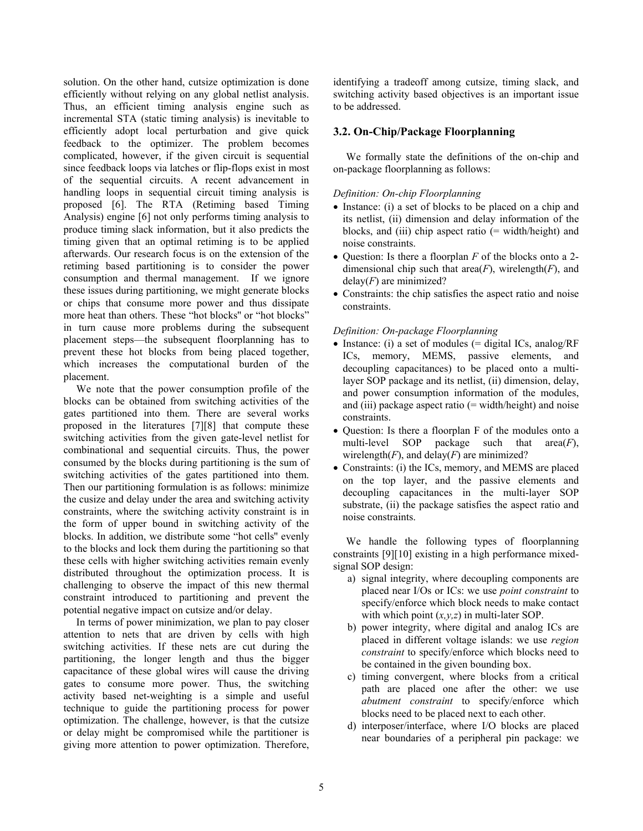solution. On the other hand, cutsize optimization is done efficiently without relying on any global netlist analysis. Thus, an efficient timing analysis engine such as incremental STA (static timing analysis) is inevitable to efficiently adopt local perturbation and give quick feedback to the optimizer. The problem becomes complicated, however, if the given circuit is sequential since feedback loops via latches or flip-flops exist in most of the sequential circuits. A recent advancement in handling loops in sequential circuit timing analysis is proposed [6]. The RTA (Retiming based Timing Analysis) engine [6] not only performs timing analysis to produce timing slack information, but it also predicts the timing given that an optimal retiming is to be applied afterwards. Our research focus is on the extension of the retiming based partitioning is to consider the power consumption and thermal management. If we ignore these issues during partitioning, we might generate blocks or chips that consume more power and thus dissipate more heat than others. These "hot blocks'' or "hot blocks" in turn cause more problems during the subsequent placement steps—the subsequent floorplanning has to prevent these hot blocks from being placed together, which increases the computational burden of the placement.

We note that the power consumption profile of the blocks can be obtained from switching activities of the gates partitioned into them. There are several works proposed in the literatures [7][8] that compute these switching activities from the given gate-level netlist for combinational and sequential circuits. Thus, the power consumed by the blocks during partitioning is the sum of switching activities of the gates partitioned into them. Then our partitioning formulation is as follows: minimize the cusize and delay under the area and switching activity constraints, where the switching activity constraint is in the form of upper bound in switching activity of the blocks. In addition, we distribute some "hot cells'' evenly to the blocks and lock them during the partitioning so that these cells with higher switching activities remain evenly distributed throughout the optimization process. It is challenging to observe the impact of this new thermal constraint introduced to partitioning and prevent the potential negative impact on cutsize and/or delay.

In terms of power minimization, we plan to pay closer attention to nets that are driven by cells with high switching activities. If these nets are cut during the partitioning, the longer length and thus the bigger capacitance of these global wires will cause the driving gates to consume more power. Thus, the switching activity based net-weighting is a simple and useful technique to guide the partitioning process for power optimization. The challenge, however, is that the cutsize or delay might be compromised while the partitioner is giving more attention to power optimization. Therefore, identifying a tradeoff among cutsize, timing slack, and switching activity based objectives is an important issue to be addressed.

## **3.2. On-Chip/Package Floorplanning**

We formally state the definitions of the on-chip and on-package floorplanning as follows:

## *Definition: On-chip Floorplanning*

- Instance: (i) a set of blocks to be placed on a chip and its netlist, (ii) dimension and delay information of the blocks, and (iii) chip aspect ratio (= width/height) and noise constraints.
- Question: Is there a floorplan *F* of the blocks onto a 2 dimensional chip such that  $area(F)$ , wirelength(*F*), and delay(*F*) are minimized?
- Constraints: the chip satisfies the aspect ratio and noise constraints.

### *Definition: On-package Floorplanning*

- Instance: (i) a set of modules  $(=$  digital ICs, analog/RF ICs, memory, MEMS, passive elements, and decoupling capacitances) to be placed onto a multilayer SOP package and its netlist, (ii) dimension, delay, and power consumption information of the modules, and (iii) package aspect ratio  $(=$  width/height) and noise constraints.
- Question: Is there a floorplan F of the modules onto a multi-level SOP package such that area(*F*), wirelength $(F)$ , and delay $(F)$  are minimized?
- Constraints: (i) the ICs, memory, and MEMS are placed on the top layer, and the passive elements and decoupling capacitances in the multi-layer SOP substrate, (ii) the package satisfies the aspect ratio and noise constraints.

We handle the following types of floorplanning constraints [9][10] existing in a high performance mixedsignal SOP design:

- a) signal integrity, where decoupling components are placed near I/Os or ICs: we use *point constraint* to specify/enforce which block needs to make contact with which point  $(x, y, z)$  in multi-later SOP.
- b) power integrity, where digital and analog ICs are placed in different voltage islands: we use *region constraint* to specify/enforce which blocks need to be contained in the given bounding box.
- c) timing convergent, where blocks from a critical path are placed one after the other: we use *abutment constraint* to specify/enforce which blocks need to be placed next to each other.
- d) interposer/interface, where I/O blocks are placed near boundaries of a peripheral pin package: we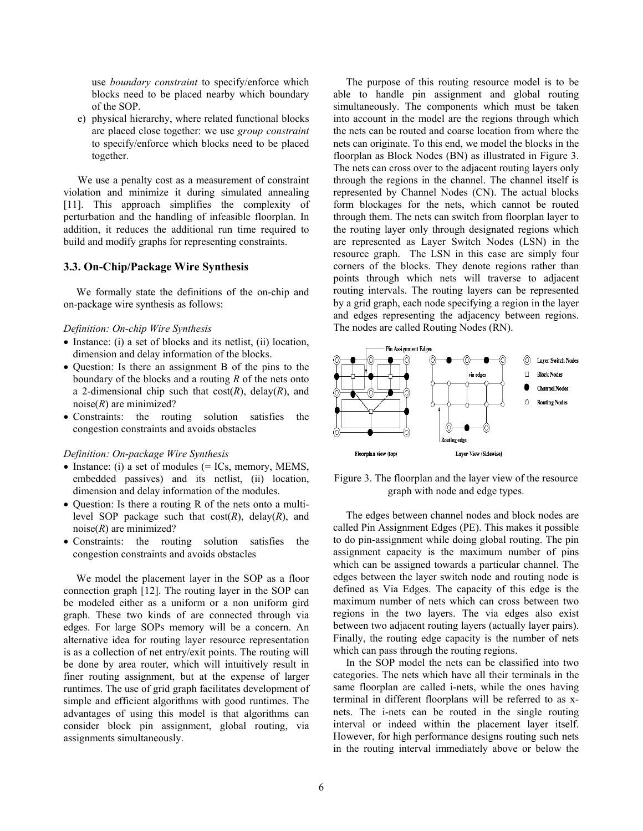use *boundary constraint* to specify/enforce which blocks need to be placed nearby which boundary of the SOP.

e) physical hierarchy, where related functional blocks are placed close together: we use *group constraint* to specify/enforce which blocks need to be placed together.

 We use a penalty cost as a measurement of constraint violation and minimize it during simulated annealing [11]. This approach simplifies the complexity of perturbation and the handling of infeasible floorplan. In addition, it reduces the additional run time required to build and modify graphs for representing constraints.

### **3.3. On-Chip/Package Wire Synthesis**

We formally state the definitions of the on-chip and on-package wire synthesis as follows:

#### *Definition: On-chip Wire Synthesis*

- Instance: (i) a set of blocks and its netlist, (ii) location, dimension and delay information of the blocks.
- Question: Is there an assignment B of the pins to the boundary of the blocks and a routing *R* of the nets onto a 2-dimensional chip such that  $cost(R)$ , delay(R), and noise(*R*) are minimized?
- Constraints: the routing solution satisfies the congestion constraints and avoids obstacles

#### *Definition: On-package Wire Synthesis*

- Instance: (i) a set of modules (= ICs, memory, MEMS, embedded passives) and its netlist, (ii) location, dimension and delay information of the modules.
- Question: Is there a routing R of the nets onto a multilevel SOP package such that  $cost(R)$ , delay(R), and noise(*R*) are minimized?
- Constraints: the routing solution satisfies the congestion constraints and avoids obstacles

We model the placement layer in the SOP as a floor connection graph [12]. The routing layer in the SOP can be modeled either as a uniform or a non uniform gird graph. These two kinds of are connected through via edges. For large SOPs memory will be a concern. An alternative idea for routing layer resource representation is as a collection of net entry/exit points. The routing will be done by area router, which will intuitively result in finer routing assignment, but at the expense of larger runtimes. The use of grid graph facilitates development of simple and efficient algorithms with good runtimes. The advantages of using this model is that algorithms can consider block pin assignment, global routing, via assignments simultaneously.

The purpose of this routing resource model is to be able to handle pin assignment and global routing simultaneously. The components which must be taken into account in the model are the regions through which the nets can be routed and coarse location from where the nets can originate. To this end, we model the blocks in the floorplan as Block Nodes (BN) as illustrated in Figure 3. The nets can cross over to the adjacent routing layers only through the regions in the channel. The channel itself is represented by Channel Nodes (CN). The actual blocks form blockages for the nets, which cannot be routed through them. The nets can switch from floorplan layer to the routing layer only through designated regions which are represented as Layer Switch Nodes (LSN) in the resource graph. The LSN in this case are simply four corners of the blocks. They denote regions rather than points through which nets will traverse to adjacent routing intervals. The routing layers can be represented by a grid graph, each node specifying a region in the layer and edges representing the adjacency between regions. The nodes are called Routing Nodes (RN).



Figure 3. The floorplan and the layer view of the resource graph with node and edge types.

The edges between channel nodes and block nodes are called Pin Assignment Edges (PE). This makes it possible to do pin-assignment while doing global routing. The pin assignment capacity is the maximum number of pins which can be assigned towards a particular channel. The edges between the layer switch node and routing node is defined as Via Edges. The capacity of this edge is the maximum number of nets which can cross between two regions in the two layers. The via edges also exist between two adjacent routing layers (actually layer pairs). Finally, the routing edge capacity is the number of nets which can pass through the routing regions.

In the SOP model the nets can be classified into two categories. The nets which have all their terminals in the same floorplan are called i-nets, while the ones having terminal in different floorplans will be referred to as xnets. The i-nets can be routed in the single routing interval or indeed within the placement layer itself. However, for high performance designs routing such nets in the routing interval immediately above or below the